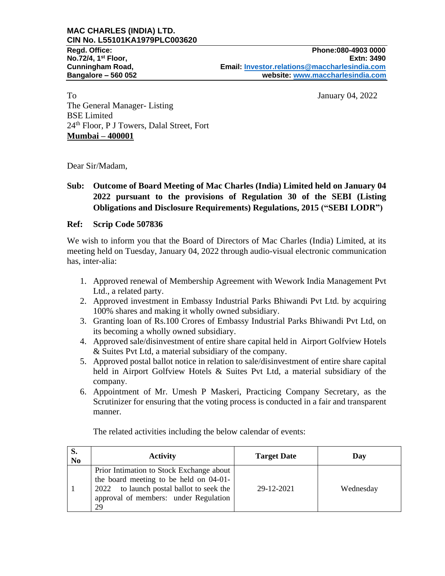#### **MAC CHARLES (INDIA) LTD. CIN No. L55101KA1979PLC003620**

To January 04, 2022 The General Manager- Listing BSE Limited 24th Floor, P J Towers, Dalal Street, Fort **Mumbai – 400001**

Dear Sir/Madam,

### **Sub: Outcome of Board Meeting of Mac Charles (India) Limited held on January 04 2022 pursuant to the provisions of Regulation 30 of the SEBI (Listing Obligations and Disclosure Requirements) Regulations, 2015 ("SEBI LODR")**

### **Ref: Scrip Code 507836**

We wish to inform you that the Board of Directors of Mac Charles (India) Limited, at its meeting held on Tuesday, January 04, 2022 through audio-visual electronic communication has, inter-alia:

- 1. Approved renewal of Membership Agreement with Wework India Management Pvt Ltd., a related party.
- 2. Approved investment in Embassy Industrial Parks Bhiwandi Pvt Ltd. by acquiring 100% shares and making it wholly owned subsidiary.
- 3. Granting loan of Rs.100 Crores of Embassy Industrial Parks Bhiwandi Pvt Ltd, on its becoming a wholly owned subsidiary.
- 4. Approved sale/disinvestment of entire share capital held in Airport Golfview Hotels & Suites Pvt Ltd, a material subsidiary of the company.
- 5. Approved postal ballot notice in relation to sale/disinvestment of entire share capital held in Airport Golfview Hotels & Suites Pvt Ltd, a material subsidiary of the company.
- 6. Appointment of Mr. Umesh P Maskeri, Practicing Company Secretary, as the Scrutinizer for ensuring that the voting process is conducted in a fair and transparent manner.

| S.<br>N <sub>o</sub> | <b>Activity</b>                                                                                                                                                                  | <b>Target Date</b> | Day       |
|----------------------|----------------------------------------------------------------------------------------------------------------------------------------------------------------------------------|--------------------|-----------|
|                      | Prior Intimation to Stock Exchange about<br>the board meeting to be held on 04-01-<br>to launch postal ballot to seek the<br>2022<br>approval of members: under Regulation<br>29 | 29-12-2021         | Wednesday |

The related activities including the below calendar of events: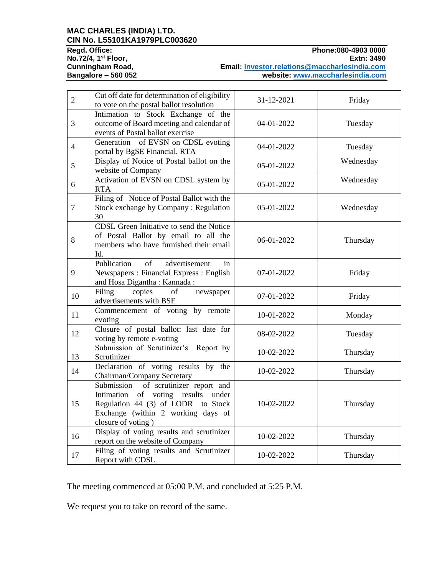# **MAC CHARLES (INDIA) LTD. CIN No. L55101KA1979PLC003620**

**No.72/4, 1<sup>st</sup> Floor,<br>Cunningham Road,** 

**Phone: 080-4903 0000**<br>**Extn: 3490 Email: [Investor.relations@maccharlesindia.com](mailto:Investor.relations@maccharlesindia.com) Bangalore – 560 052 website: [www.maccharlesindia.com](http://www.maccharlesindia.com/)**

| $\overline{2}$ | Cut off date for determination of eligibility<br>to vote on the postal ballot resolution                                                                                        | 31-12-2021 | Friday    |
|----------------|---------------------------------------------------------------------------------------------------------------------------------------------------------------------------------|------------|-----------|
| 3              | Intimation to Stock Exchange of the<br>outcome of Board meeting and calendar of<br>events of Postal ballot exercise                                                             | 04-01-2022 | Tuesday   |
| $\overline{4}$ | Generation of EVSN on CDSL evoting<br>portal by BgSE Financial, RTA                                                                                                             | 04-01-2022 | Tuesday   |
| 5              | Display of Notice of Postal ballot on the<br>website of Company                                                                                                                 | 05-01-2022 | Wednesday |
| 6              | Activation of EVSN on CDSL system by<br><b>RTA</b>                                                                                                                              | 05-01-2022 | Wednesday |
| $\overline{7}$ | Filing of Notice of Postal Ballot with the<br>Stock exchange by Company: Regulation<br>30                                                                                       | 05-01-2022 | Wednesday |
| 8              | CDSL Green Initiative to send the Notice<br>of Postal Ballot by email to all the<br>members who have furnished their email<br>Id.                                               | 06-01-2022 | Thursday  |
| 9              | Publication<br>advertisement<br>of<br>in<br>Newspapers: Financial Express: English<br>and Hosa Digantha: Kannada:                                                               | 07-01-2022 | Friday    |
| 10             | Filing<br>copies<br>of<br>newspaper<br>advertisements with BSE                                                                                                                  | 07-01-2022 | Friday    |
| 11             | Commencement of voting by remote<br>evoting                                                                                                                                     | 10-01-2022 | Monday    |
| 12             | Closure of postal ballot: last date for<br>voting by remote e-voting                                                                                                            | 08-02-2022 | Tuesday   |
| 13             | Submission of Scrutinizer's Report by<br>Scrutinizer                                                                                                                            | 10-02-2022 | Thursday  |
| 14             | Declaration of voting results by the<br>Chairman/Company Secretary                                                                                                              | 10-02-2022 | Thursday  |
| 15             | of scrutinizer report and<br>Submission<br>Intimation of voting results under<br>Regulation 44 (3) of LODR to Stock<br>Exchange (within 2 working days of<br>closure of voting) | 10-02-2022 | Thursday  |
| 16             | Display of voting results and scrutinizer<br>report on the website of Company                                                                                                   | 10-02-2022 | Thursday  |
| 17             | Filing of voting results and Scrutinizer<br>Report with CDSL                                                                                                                    | 10-02-2022 | Thursday  |

The meeting commenced at 05:00 P.M. and concluded at 5:25 P.M.

We request you to take on record of the same.